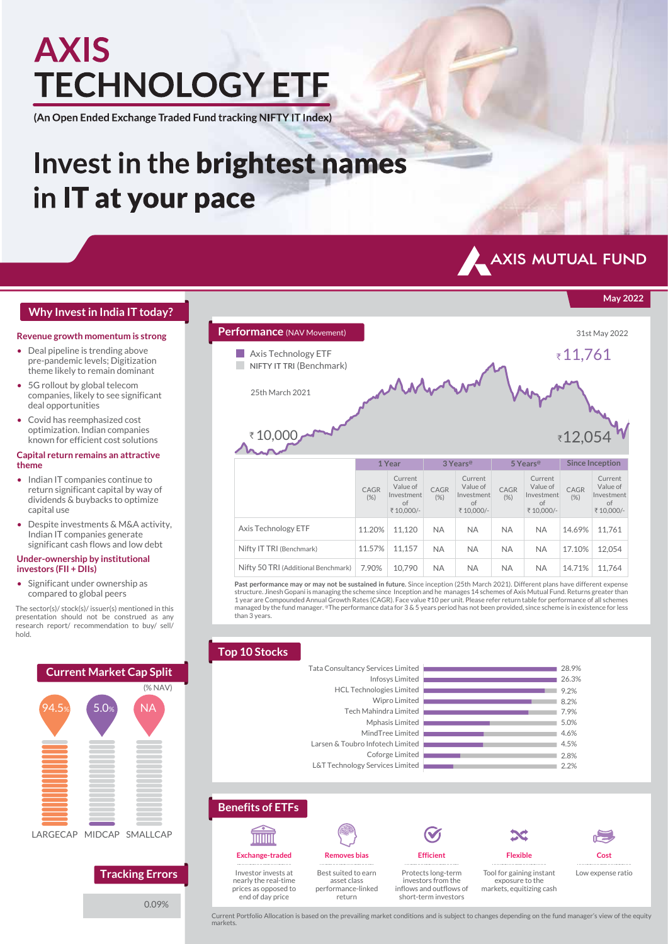# **AXIS TECHNOLOGY ETF**

(An Open Ended Exchange Traded Fund tracking NIFTY IT Index)

## Invest in the brightest names in IT at your pace



**May 2022**

## **Why Invest in India IT today?**

### **Revenue growth momentum is strong**

- Deal pipeline is trending above pre-pandemic levels; Digitization theme likely to remain dominant
- 5G rollout by global telecom companies, likely to see significant deal opportunities
- Covid has reemphasized cost optimization. Indian companies known for efficient cost solutions

### **Capital return remains an attractive theme**

- Indian IT companies continue to return significant capital by way of dividends & buybacks to optimize capital use
- Despite investments & M&A activity, Indian IT companies generate significant cash flows and low debt

### **Under-ownership by institutional investors (FII + DIIs)**

• Significant under ownership as compared to global peers

The sector(s)/ stock(s)/ issuer(s) mentioned in this presentation should not be construed as any research report/ recommendation to buy/ sell/ hold.



0.09%



**Past performance may or may not be sustained in future.** Since inception (25th March 2021). Different plans have different expense<br>structure. Jinesh Gopani is managing the scheme since Inception and he manages 14 schemes 1 year are Compounded Annual Growth Rates (CAGR). Face value ₹10 per unit. Please refer return table for performance of all schemes managed by the fund manager. @The performance data for 3 & 5 years period has not been provided, since scheme is in existence for less than 3 years.

#### **Top 10 Stocks** 2.2% 2.8% 4.5% 4.6% 5.0% 7.9% 8.2% 9.2% 26.3% 28.9% L&T Technology Services Limited Coforge Limited Larsen & Toubro Infotech Limited MindTree Limited Mphasis Limited Tech Mahindra Limited Wipro Limited HCL Technologies Limited Infosys Limited Tata Consultancy Services Limited



**Benefits of ETFs**

Investor invests at nearly the real-time prices as opposed to end of day price



return

Protects long-term investors from the inflows and outflows of short-term investors

**Efficient**

**Flexible** Tool for gaining instant exposure to the markets, equitizing cash

**Cost** Low expense ratio

Current Portfolio Allocation is based on the prevailing market conditions and is subject to changes depending on the fund manager's view of the equity markets.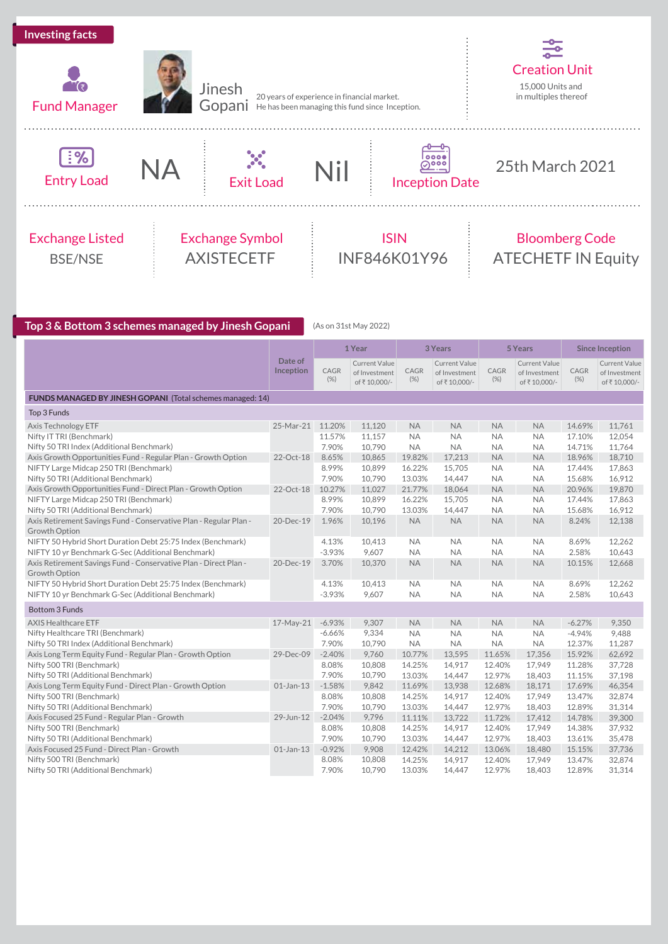



20 years of experience in financial market. He has been managing this fund since Inception.



## $\frac{[?8]}{\text{Entry Load}}$  NA





Inception Date

25th March 2021

## Exchange Listed BSE/NSE



## ISIN INF846K01Y96

## Bloomberg Code ATECHETF IN Equity

**Top 3 & Bottom 3 schemes managed by Jinesh Gopani** (As on 31st May 2022)

|                                                                   |                      |                | 1 Year                                         | 3 Years        |                                               | 5 Years     |                                               | <b>Since Inception</b> |                                                      |
|-------------------------------------------------------------------|----------------------|----------------|------------------------------------------------|----------------|-----------------------------------------------|-------------|-----------------------------------------------|------------------------|------------------------------------------------------|
|                                                                   | Date of<br>Inception | CAGR<br>$(\%)$ | Current Value<br>of Investment<br>of ₹10,000/- | CAGR<br>$(\%)$ | Current Value<br>of Investment<br>of₹10,000/- | CAGR<br>(%) | Current Value<br>of Investment<br>of₹10,000/- | CAGR<br>$(\%)$         | <b>Current Value</b><br>of Investment<br>of₹10,000/- |
| FUNDS MANAGED BY JINESH GOPANI (Total schemes managed: 14)        |                      |                |                                                |                |                                               |             |                                               |                        |                                                      |
| Top 3 Funds                                                       |                      |                |                                                |                |                                               |             |                                               |                        |                                                      |
| Axis Technology ETF                                               | 25-Mar-21            | 11.20%         | 11,120                                         | <b>NA</b>      | <b>NA</b>                                     | <b>NA</b>   | <b>NA</b>                                     | 14.69%                 | 11,761                                               |
| Nifty IT TRI (Benchmark)                                          |                      | 11.57%         | 11,157                                         | <b>NA</b>      | <b>NA</b>                                     | <b>NA</b>   | <b>NA</b>                                     | 17.10%                 | 12,054                                               |
| Nifty 50 TRI Index (Additional Benchmark)                         |                      | 7.90%          | 10,790                                         | <b>NA</b>      | <b>NA</b>                                     | <b>NA</b>   | <b>NA</b>                                     | 14.71%                 | 11,764                                               |
| Axis Growth Opportunities Fund - Regular Plan - Growth Option     | 22-Oct-18            | 8.65%          | 10,865                                         | 19.82%         | 17,213                                        | <b>NA</b>   | <b>NA</b>                                     | 18.96%                 | 18,710                                               |
| NIFTY Large Midcap 250 TRI (Benchmark)                            |                      | 8.99%          | 10,899                                         | 16.22%         | 15,705                                        | <b>NA</b>   | <b>NA</b>                                     | 17.44%                 | 17,863                                               |
| Nifty 50 TRI (Additional Benchmark)                               |                      | 7.90%          | 10,790                                         | 13.03%         | 14,447                                        | <b>NA</b>   | <b>NA</b>                                     | 15.68%                 | 16,912                                               |
| Axis Growth Opportunities Fund - Direct Plan - Growth Option      | 22-Oct-18            | 10.27%         | 11,027                                         | 21.77%         | 18,064                                        | <b>NA</b>   | <b>NA</b>                                     | 20.96%                 | 19,870                                               |
| NIFTY Large Midcap 250 TRI (Benchmark)                            |                      | 8.99%          | 10,899                                         | 16.22%         | 15,705                                        | <b>NA</b>   | <b>NA</b>                                     | 17.44%                 | 17,863                                               |
| Nifty 50 TRI (Additional Benchmark)                               |                      | 7.90%          | 10,790                                         | 13.03%         | 14,447                                        | <b>NA</b>   | <b>NA</b>                                     | 15.68%                 | 16,912                                               |
| Axis Retirement Savings Fund - Conservative Plan - Regular Plan - | 20-Dec-19            | 1.96%          | 10,196                                         | <b>NA</b>      | <b>NA</b>                                     | <b>NA</b>   | <b>NA</b>                                     | 8.24%                  | 12,138                                               |
| Growth Option                                                     |                      |                |                                                |                |                                               |             |                                               |                        |                                                      |
| NIFTY 50 Hybrid Short Duration Debt 25:75 Index (Benchmark)       |                      | 4.13%          | 10,413                                         | <b>NA</b>      | <b>NA</b>                                     | <b>NA</b>   | <b>NA</b>                                     | 8.69%                  | 12,262                                               |
| NIFTY 10 yr Benchmark G-Sec (Additional Benchmark)                |                      | $-3.93%$       | 9,607                                          | <b>NA</b>      | <b>NA</b>                                     | <b>NA</b>   | <b>NA</b>                                     | 2.58%                  | 10,643                                               |
| Axis Retirement Savings Fund - Conservative Plan - Direct Plan -  | 20-Dec-19            | 3.70%          | 10.370                                         | <b>NA</b>      | <b>NA</b>                                     | <b>NA</b>   | <b>NA</b>                                     | 10.15%                 | 12,668                                               |
| Growth Option                                                     |                      |                |                                                |                |                                               |             |                                               |                        |                                                      |
| NIFTY 50 Hybrid Short Duration Debt 25:75 Index (Benchmark)       |                      | 4.13%          | 10,413                                         | <b>NA</b>      | <b>NA</b>                                     | <b>NA</b>   | <b>NA</b>                                     | 8.69%                  | 12,262                                               |
| NIFTY 10 yr Benchmark G-Sec (Additional Benchmark)                |                      | $-3.93%$       | 9,607                                          | <b>NA</b>      | <b>NA</b>                                     | <b>NA</b>   | <b>NA</b>                                     | 2.58%                  | 10,643                                               |
| <b>Bottom 3 Funds</b>                                             |                      |                |                                                |                |                                               |             |                                               |                        |                                                      |
| <b>AXIS Healthcare ETF</b>                                        | 17-May-21            | $-6.93%$       | 9,307                                          | <b>NA</b>      | <b>NA</b>                                     | <b>NA</b>   | <b>NA</b>                                     | $-6.27%$               | 9,350                                                |
| Nifty Healthcare TRI (Benchmark)                                  |                      | $-6.66%$       | 9,334                                          | <b>NA</b>      | <b>NA</b>                                     | <b>NA</b>   | <b>NA</b>                                     | $-4.94%$               | 9,488                                                |
| Nifty 50 TRI Index (Additional Benchmark)                         |                      | 7.90%          | 10,790                                         | <b>NA</b>      | <b>NA</b>                                     | <b>NA</b>   | <b>NA</b>                                     | 12.37%                 | 11,287                                               |
| Axis Long Term Equity Fund - Regular Plan - Growth Option         | 29-Dec-09            | $-2.40%$       | 9,760                                          | 10.77%         | 13,595                                        | 11.65%      | 17,356                                        | 15.92%                 | 62,692                                               |
| Nifty 500 TRI (Benchmark)                                         |                      | 8.08%          | 10,808                                         | 14.25%         | 14,917                                        | 12.40%      | 17,949                                        | 11.28%                 | 37,728                                               |
| Nifty 50 TRI (Additional Benchmark)                               |                      | 7.90%          | 10,790                                         | 13.03%         | 14,447                                        | 12.97%      | 18,403                                        | 11.15%                 | 37,198                                               |
| Axis Long Term Equity Fund - Direct Plan - Growth Option          | $01$ -Jan-13         | $-1.58%$       | 9,842                                          | 11.69%         | 13,938                                        | 12.68%      | 18,171                                        | 17.69%                 | 46,354                                               |
| Nifty 500 TRI (Benchmark)                                         |                      | 8.08%          | 10,808                                         | 14.25%         | 14.917                                        | 12.40%      | 17.949                                        | 13.47%                 | 32,874                                               |
| Nifty 50 TRI (Additional Benchmark)                               |                      | 7.90%          | 10,790                                         | 13.03%         | 14,447                                        | 12.97%      | 18,403                                        | 12.89%                 | 31,314                                               |
| Axis Focused 25 Fund - Regular Plan - Growth                      | 29-Jun-12            | $-2.04%$       | 9,796                                          | 11.11%         | 13,722                                        | 11.72%      | 17,412                                        | 14.78%                 | 39,300                                               |
| Nifty 500 TRI (Benchmark)                                         |                      | 8.08%          | 10,808                                         | 14.25%         | 14,917                                        | 12.40%      | 17,949                                        | 14.38%                 | 37,932                                               |
| Nifty 50 TRI (Additional Benchmark)                               |                      | 7.90%          | 10,790                                         | 13.03%         | 14,447                                        | 12.97%      | 18,403                                        | 13.61%                 | 35,478                                               |
| Axis Focused 25 Fund - Direct Plan - Growth                       | $01$ -Jan-13         | $-0.92%$       | 9,908                                          | 12.42%         | 14,212                                        | 13.06%      | 18,480                                        | 15.15%                 | 37,736                                               |
| Nifty 500 TRI (Benchmark)                                         |                      | 8.08%          | 10,808                                         | 14.25%         | 14,917                                        | 12.40%      | 17,949                                        | 13.47%                 | 32,874                                               |
| Nifty 50 TRI (Additional Benchmark)                               |                      | 7.90%          | 10,790                                         | 13.03%         | 14,447                                        | 12.97%      | 18,403                                        | 12.89%                 | 31,314                                               |